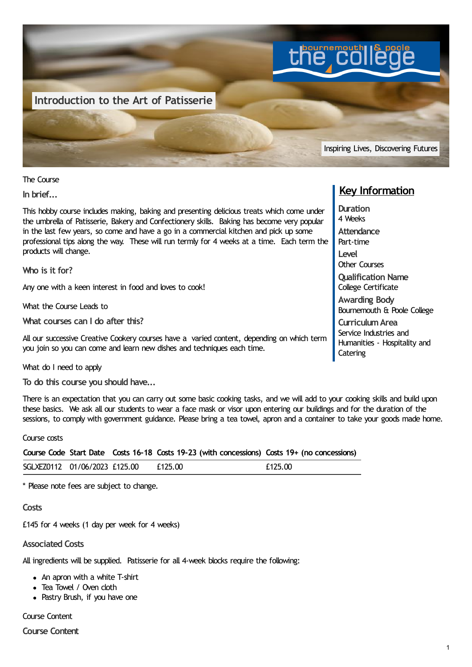

The Course

**In brief...**

This hobby course includes making, baking and presenting delicious treats which come under the umbrella of Patisserie, Bakery and Confectionery skills. Baking has become very popular in the last few years, so come and have a go in a commercial kitchen and pick up some professional tips along the way. These will run termly for 4 weeks at a time. Each term the products will change.

**Who is it for?**

Any one with a keen interest in food and loves to cook!

What the Course Leads to

**What courses can I do after this?**

All our successive Creative Cookery courses have a varied content, depending on which term you join so you can come and learn new dishes and techniques each time.

What do I need to apply

**To do this course you should have...**

There is an expectation that you can carry out some basic cooking tasks, and we will add to your cooking skills and build upon these basics. We ask all our students to wear a face mask or visor upon entering our buildings and for the duration of the sessions, to comply with government guidance. Please bring a tea towel, apron and a container to take your goods made home.

Course costs

|  |  |  | Course Code Start Date Costs 16-18 Costs 19-23 (with concessions) Costs 19+ (no concessions) |
|--|--|--|----------------------------------------------------------------------------------------------|
|--|--|--|----------------------------------------------------------------------------------------------|

| SGLXEZ0112 | 01/06/2023 £125.00 | £125.00 | f125 በበ<br>LIZJ.UU |
|------------|--------------------|---------|--------------------|
|            |                    |         |                    |

\* Please note fees are subject to change.

**Costs**

£145 for 4 weeks (1 day per week for 4 weeks)

**Associated Costs**

All ingredients will be supplied. Patisserie for all 4-week blocks require the following:

- An apron with a white T-shirt
- Tea Towel / Oven cloth
- Pastry Brush, if you have one

Course Content

**Course Content**

## **Key Information**

**Duration** 4 Weeks **Attendance** Part-time **Level** Other Courses **Qualification Name** College Certificate **Awarding Body** Bournemouth & Poole College **CurriculumArea** Service Industries and Humanities - Hospitality and **Catering**